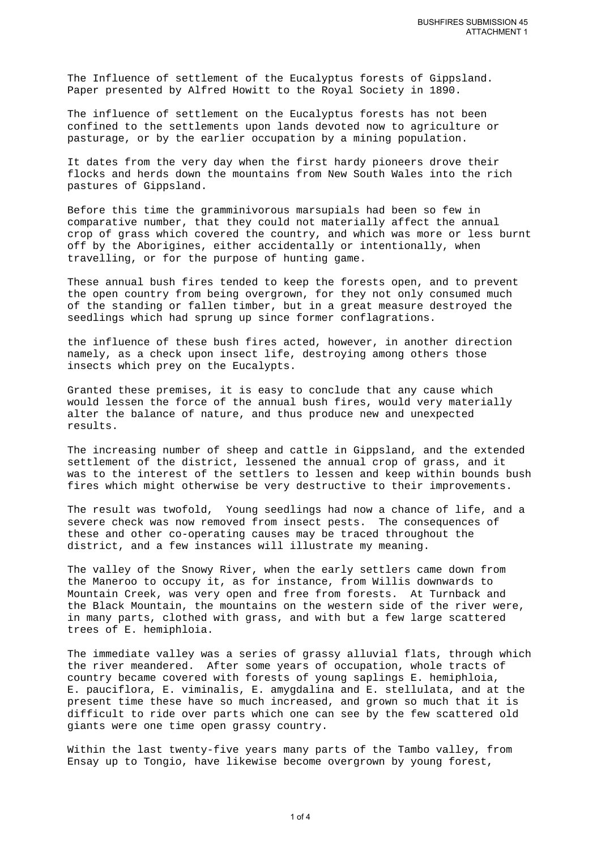The Influence of settlement of the Eucalyptus forests of Gippsland. Paper presented by Alfred Howitt to the Royal Society in 1890.

The influence of settlement on the Eucalyptus forests has not been confined to the settlements upon lands devoted now to agriculture or pasturage, or by the earlier occupation by a mining population.

It dates from the very day when the first hardy pioneers drove their flocks and herds down the mountains from New South Wales into the rich pastures of Gippsland.

Before this time the gramminivorous marsupials had been so few in comparative number, that they could not materially affect the annual crop of grass which covered the country, and which was more or less burnt off by the Aborigines, either accidentally or intentionally, when travelling, or for the purpose of hunting game.

These annual bush fires tended to keep the forests open, and to prevent the open country from being overgrown, for they not only consumed much of the standing or fallen timber, but in a great measure destroyed the seedlings which had sprung up since former conflagrations.

the influence of these bush fires acted, however, in another direction namely, as a check upon insect life, destroying among others those insects which prey on the Eucalypts.

Granted these premises, it is easy to conclude that any cause which would lessen the force of the annual bush fires, would very materially alter the balance of nature, and thus produce new and unexpected results.

The increasing number of sheep and cattle in Gippsland, and the extended settlement of the district, lessened the annual crop of grass, and it was to the interest of the settlers to lessen and keep within bounds bush fires which might otherwise be very destructive to their improvements.

The result was twofold, Young seedlings had now a chance of life, and a severe check was now removed from insect pests. The consequences of these and other co-operating causes may be traced throughout the district, and a few instances will illustrate my meaning.

The valley of the Snowy River, when the early settlers came down from the Maneroo to occupy it, as for instance, from Willis downwards to Mountain Creek, was very open and free from forests. At Turnback and the Black Mountain, the mountains on the western side of the river were, in many parts, clothed with grass, and with but a few large scattered trees of E. hemiphloia.

The immediate valley was a series of grassy alluvial flats, through which the river meandered. After some years of occupation, whole tracts of country became covered with forests of young saplings E. hemiphloia, E. pauciflora, E. viminalis, E. amygdalina and E. stellulata, and at the present time these have so much increased, and grown so much that it is difficult to ride over parts which one can see by the few scattered old giants were one time open grassy country.

Within the last twenty-five years many parts of the Tambo valley, from Ensay up to Tongio, have likewise become overgrown by young forest,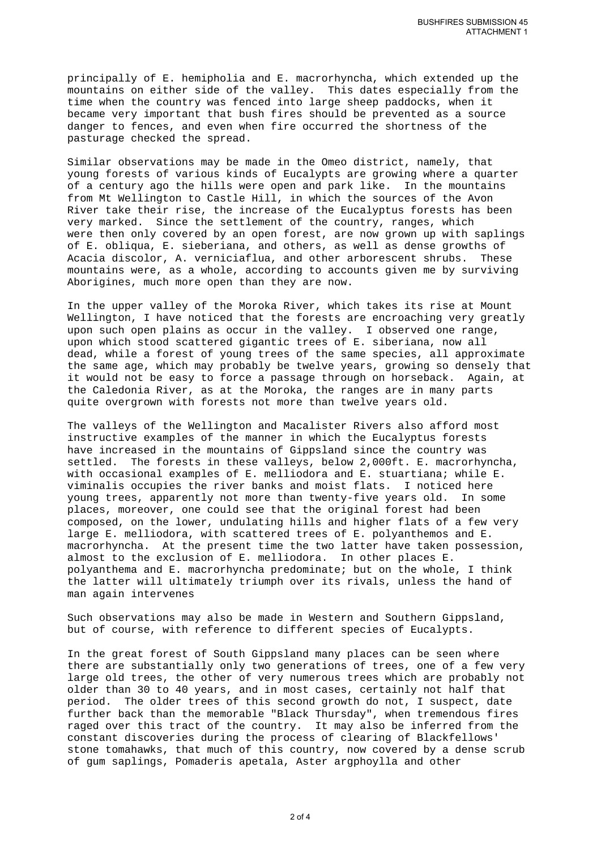principally of E. hemipholia and E. macrorhyncha, which extended up the mountains on either side of the valley. This dates especially from the time when the country was fenced into large sheep paddocks, when it became very important that bush fires should be prevented as a source danger to fences, and even when fire occurred the shortness of the pasturage checked the spread.

Similar observations may be made in the Omeo district, namely, that young forests of various kinds of Eucalypts are growing where a quarter of a century ago the hills were open and park like. In the mountains from Mt Wellington to Castle Hill, in which the sources of the Avon River take their rise, the increase of the Eucalyptus forests has been very marked. Since the settlement of the country, ranges, which were then only covered by an open forest, are now grown up with saplings of E. obliqua, E. sieberiana, and others, as well as dense growths of Acacia discolor, A. verniciaflua, and other arborescent shrubs. These mountains were, as a whole, according to accounts given me by surviving Aborigines, much more open than they are now.

In the upper valley of the Moroka River, which takes its rise at Mount Wellington, I have noticed that the forests are encroaching very greatly upon such open plains as occur in the valley. I observed one range, upon which stood scattered gigantic trees of E. siberiana, now all dead, while a forest of young trees of the same species, all approximate the same age, which may probably be twelve years, growing so densely that it would not be easy to force a passage through on horseback. Again, at the Caledonia River, as at the Moroka, the ranges are in many parts quite overgrown with forests not more than twelve years old.

The valleys of the Wellington and Macalister Rivers also afford most instructive examples of the manner in which the Eucalyptus forests have increased in the mountains of Gippsland since the country was settled. The forests in these valleys, below 2,000ft. E. macrorhyncha, with occasional examples of E. melliodora and E. stuartiana; while E. viminalis occupies the river banks and moist flats. I noticed here young trees, apparently not more than twenty-five years old. In some places, moreover, one could see that the original forest had been composed, on the lower, undulating hills and higher flats of a few very large E. melliodora, with scattered trees of E. polyanthemos and E. macrorhyncha. At the present time the two latter have taken possession, almost to the exclusion of E. melliodora. In other places E. polyanthema and E. macrorhyncha predominate; but on the whole, I think the latter will ultimately triumph over its rivals, unless the hand of man again intervenes

Such observations may also be made in Western and Southern Gippsland, but of course, with reference to different species of Eucalypts.

In the great forest of South Gippsland many places can be seen where there are substantially only two generations of trees, one of a few very large old trees, the other of very numerous trees which are probably not older than 30 to 40 years, and in most cases, certainly not half that period. The older trees of this second growth do not, I suspect, date further back than the memorable "Black Thursday", when tremendous fires raged over this tract of the country. It may also be inferred from the constant discoveries during the process of clearing of Blackfellows' stone tomahawks, that much of this country, now covered by a dense scrub of gum saplings, Pomaderis apetala, Aster argphoylla and other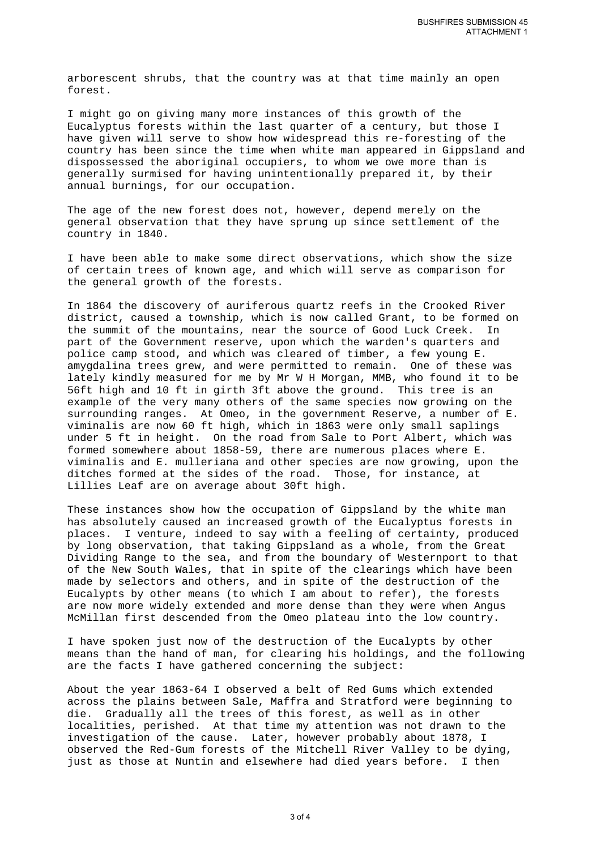arborescent shrubs, that the country was at that time mainly an open forest.

I might go on giving many more instances of this growth of the Eucalyptus forests within the last quarter of a century, but those I have given will serve to show how widespread this re-foresting of the country has been since the time when white man appeared in Gippsland and dispossessed the aboriginal occupiers, to whom we owe more than is generally surmised for having unintentionally prepared it, by their annual burnings, for our occupation.

The age of the new forest does not, however, depend merely on the general observation that they have sprung up since settlement of the country in 1840.

I have been able to make some direct observations, which show the size of certain trees of known age, and which will serve as comparison for the general growth of the forests.

In 1864 the discovery of auriferous quartz reefs in the Crooked River district, caused a township, which is now called Grant, to be formed on the summit of the mountains, near the source of Good Luck Creek. In part of the Government reserve, upon which the warden's quarters and police camp stood, and which was cleared of timber, a few young E. amygdalina trees grew, and were permitted to remain. One of these was lately kindly measured for me by Mr W H Morgan, MMB, who found it to be 56ft high and 10 ft in girth 3ft above the ground. This tree is an example of the very many others of the same species now growing on the surrounding ranges. At Omeo, in the government Reserve, a number of E. viminalis are now 60 ft high, which in 1863 were only small saplings under 5 ft in height. On the road from Sale to Port Albert, which was formed somewhere about 1858-59, there are numerous places where E. viminalis and E. mulleriana and other species are now growing, upon the ditches formed at the sides of the road. Those, for instance, at Lillies Leaf are on average about 30ft high.

These instances show how the occupation of Gippsland by the white man has absolutely caused an increased growth of the Eucalyptus forests in places. I venture, indeed to say with a feeling of certainty, produced by long observation, that taking Gippsland as a whole, from the Great Dividing Range to the sea, and from the boundary of Westernport to that of the New South Wales, that in spite of the clearings which have been made by selectors and others, and in spite of the destruction of the Eucalypts by other means (to which I am about to refer), the forests are now more widely extended and more dense than they were when Angus McMillan first descended from the Omeo plateau into the low country.

I have spoken just now of the destruction of the Eucalypts by other means than the hand of man, for clearing his holdings, and the following are the facts I have gathered concerning the subject:

About the year 1863-64 I observed a belt of Red Gums which extended across the plains between Sale, Maffra and Stratford were beginning to die. Gradually all the trees of this forest, as well as in other localities, perished. At that time my attention was not drawn to the investigation of the cause. Later, however probably about 1878, I observed the Red-Gum forests of the Mitchell River Valley to be dying, just as those at Nuntin and elsewhere had died years before. I then